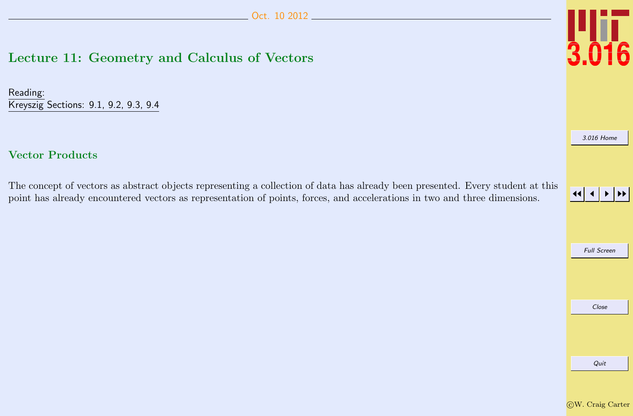# <span id="page-0-0"></span>Lecture 11: Geometry and Calculus of Vectors

Reading: Kreyszig Sections: 9.1, 9.2, 9.3, 9.4

# Vector Products

The concept of vectors as abstract objects representing a collection of data has already been presented. Every student at this point has already encountered vectors as representation of points, forces, and accelerations in two and three dimensions.



[3.016 Home](http://pruffle.mit.edu/3.016-2012/)

JJ J I II

Full Screen

Close Quit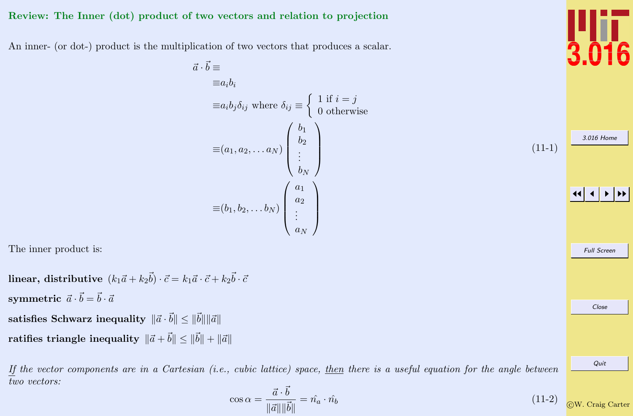## Review: The Inner (dot) product of two vectors and relation to projection

An inner- (or dot-) product is the multiplication of two vectors that produces a scalar.

 $\vec{a} \cdot \vec{a}$ 

$$
\vec{b} \equiv
$$
\n
$$
\equiv a_i b_i
$$
\n
$$
\equiv a_i b_j \delta_{ij} \text{ where } \delta_{ij} \equiv \begin{cases} 1 \text{ if } i = j \\ 0 \text{ otherwise} \end{cases}
$$
\n
$$
\equiv (a_1, a_2, \dots a_N) \begin{pmatrix} b_1 \\ b_2 \\ \vdots \\ b_N \end{pmatrix}
$$
\n
$$
\equiv (b_1, b_2, \dots b_N) \begin{pmatrix} a_1 \\ a_2 \\ \vdots \\ a_N \end{pmatrix}
$$

The inner product is:

 ${\bf linear, distributive\,}$   $(k_1\vec{a}+k_2\vec{b})\cdot\vec{c}=k_1\vec{a}\cdot\vec{c}+k_2\vec{b}\cdot\vec{c}$  $\textbf{symmetric}~~ \vec{a}\cdot\vec{b}=\vec{b}\cdot\vec{a}$ satisfies Schwarz inequality  $\|\vec{a}\cdot\vec{b}\|\leq \|\vec{b}\|\|\vec{a}\|$ 

ratifies triangle inequality  $\|\vec{a}+\vec{b}\| \leq \|\vec{b}\| + \|\vec{a}\|$ 

If the vector components are in a Cartesian  $(i.e.,$  cubic lattice) space, then there is a useful equation for the angle between two vectors:

$$
\cos \alpha = \frac{\vec{a} \cdot \vec{b}}{\|\vec{a}\| \|\vec{b}\|} = \hat{n_a} \cdot \hat{n_b}
$$
\n(11-2) 
$$
\text{QW. Craig}
$$



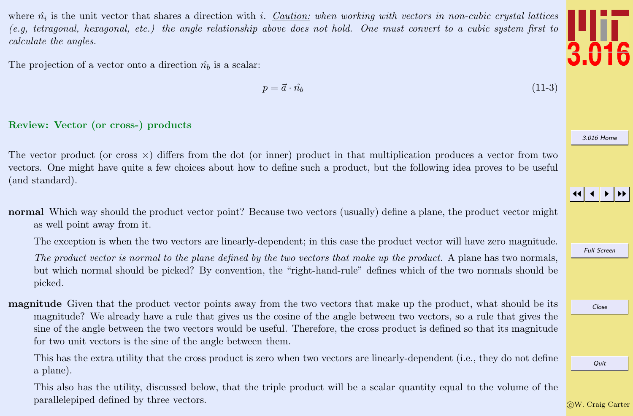where  $\hat{n_i}$  is the unit vector that shares a direction with *i*. Caution: when working with vectors in non-cubic crystal lattices (e.g, tetragonal, hexagonal, etc.) the angle relationship above does not hold. One must convert to a cubic system first to calculate the angles.

The projection of a vector onto a direction  $\hat{n}_b$  is a scalar:

$$
p = \vec{a} \cdot \hat{n_b} \tag{11-3}
$$

## Review: Vector (or cross-) products

The vector product (or cross  $\times$ ) differs from the dot (or inner) product in that multiplication produces a vector from two vectors. One might have quite a few choices about how to define such a product, but the following idea proves to be useful (and standard).

normal Which way should the product vector point? Because two vectors (usually) define a plane, the product vector might as well point away from it.

The exception is when the two vectors are linearly-dependent; in this case the product vector will have zero magnitude.

The product vector is normal to the plane defined by the two vectors that make up the product. A plane has two normals, but which normal should be picked? By convention, the "right-hand-rule" defines which of the two normals should be picked.

magnitude Given that the product vector points away from the two vectors that make up the product, what should be its magnitude? We already have a rule that gives us the cosine of the angle between two vectors, so a rule that gives the sine of the angle between the two vectors would be useful. Therefore, the cross product is defined so that its magnitude for two unit vectors is the sine of the angle between them.

This has the extra utility that the cross product is zero when two vectors are linearly-dependent (i.e., they do not define a plane).

This also has the utility, discussed below, that the triple product will be a scalar quantity equal to the volume of the parallelepiped defined by three vectors.



[3.016 Home](http://pruffle.mit.edu/3.016-2012/)

JJ J I II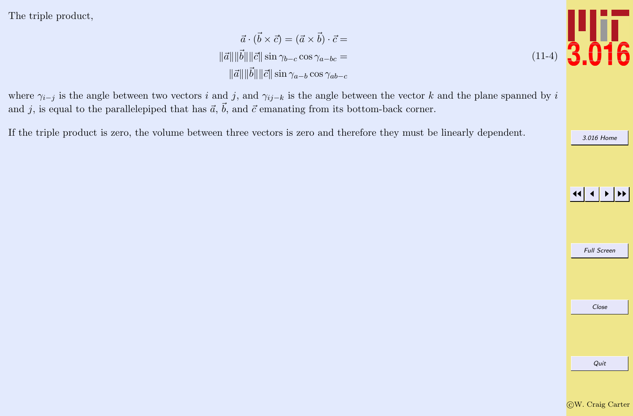<span id="page-3-0"></span>The triple product,

 $\vec{a} \cdot (\vec{b} \times \vec{c}) = (\vec{a} \times \vec{b}) \cdot \vec{c} =$  $\|\vec{a}\| \|\vec{b}\| \|\vec{c}\| \sin \gamma_{b-c} \cos \gamma_{a-bc} =$  $\|\vec{a}\|\|\vec{b}\|\|\vec{c}\|\sin\gamma_{a-b}\cos\gamma_{ab-c}$ 

where  $\gamma_{i-j}$  is the angle between two vectors i and j, and  $\gamma_{i-j-k}$  is the angle between the vector k and the plane spanned by i and j, is equal to the parallelepiped that has  $\vec{a}$ ,  $\vec{b}$ , and  $\vec{c}$  emanating from its bottom-back corner.

If the triple product is zero, the volume between three vectors is zero and therefore they must be linearly dependent.





[3.016 Home](http://pruffle.mit.edu/3.016-2012/)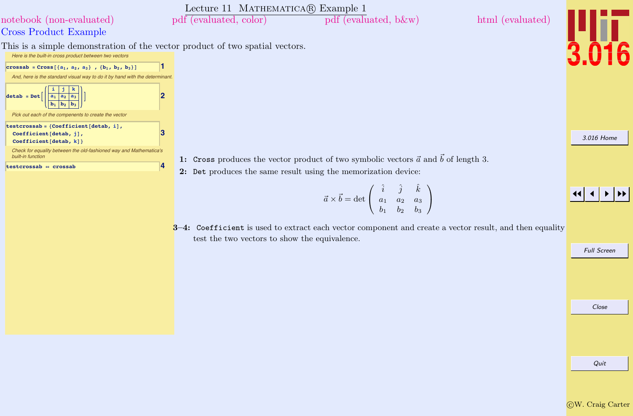<span id="page-4-0"></span>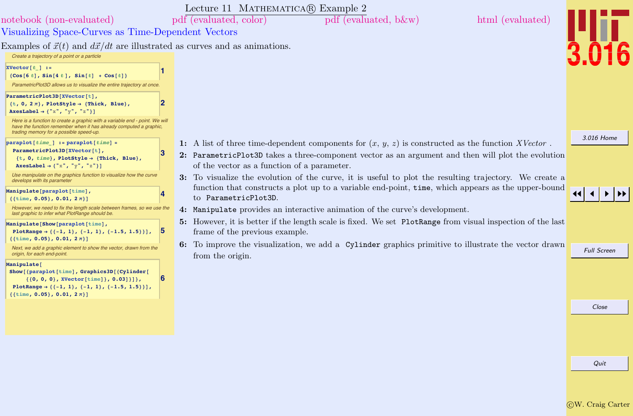<span id="page-5-0"></span>

|                                                                                                                                                                                                                                                                                                                                                                                                                                      |                | Lecture 11 MATHEMATICA(R) Example 2                                                                                                               |                    |
|--------------------------------------------------------------------------------------------------------------------------------------------------------------------------------------------------------------------------------------------------------------------------------------------------------------------------------------------------------------------------------------------------------------------------------------|----------------|---------------------------------------------------------------------------------------------------------------------------------------------------|--------------------|
| notebook (non-evaluated)                                                                                                                                                                                                                                                                                                                                                                                                             |                | pdf (evaluated, color)<br>$pdf$ (evaluated, b &w)<br>html (evaluated)                                                                             |                    |
| Visualizing Space-Curves as Time-Dependent Vectors                                                                                                                                                                                                                                                                                                                                                                                   |                |                                                                                                                                                   |                    |
| Examples of $\vec{x}(t)$ and $d\vec{x}/dt$ are illustrated as curves and as animations.<br>Create a trajectory of a point or a particle                                                                                                                                                                                                                                                                                              |                |                                                                                                                                                   |                    |
| $XVector[t]$ :=<br>$\{Cos[6 t], Sin[4 t], Sin[t] + Cos[t]\}$<br>ParametricPlot3D allows us to visualize the entire trajectory at once.<br>ParametricPlot3D[XVector[t],<br>$\{t, 0, 2\pi\}$ , PlotStyle $\rightarrow$ {Thick, Blue},<br>AxesLabel $\rightarrow$ {"x", "y", "z"}]<br>Here is a function to create a graphic with a variable end - point. We will<br>have the function remember when it has already computed a graphic, |                |                                                                                                                                                   |                    |
| trading memory for a possible speed-up.<br>$\texttt{paraplot}$ [ <i>time</i> ] := paraplot[ <i>time</i> ] =                                                                                                                                                                                                                                                                                                                          |                | 1: A list of three time-dependent components for $(x, y, z)$ is constructed as the function XVector.                                              | 3.016 Home         |
| ParametricPlot3D[XVector[t],<br>$\{t, 0, time\}$ , PlotStyle $\rightarrow$ {Thick, Blue},<br>AxesLabel $\rightarrow$ {"x", "y", "z"}]                                                                                                                                                                                                                                                                                                | З              | 2: ParametricPlot3D takes a three-component vector as an argument and then will plot the evolution<br>of the vector as a function of a parameter. |                    |
| Use manipulate on the graphics function to visualize how the curve<br>develops with its parameter                                                                                                                                                                                                                                                                                                                                    |                | 3: To visualize the evolution of the curve, it is useful to plot the resulting trajectory. We create a                                            |                    |
| Manipulate [paraplot [time],<br>$\{ \{\text{time}, \text{ 0.05} \}, \text{ 0.01, } 2 \pi \}$                                                                                                                                                                                                                                                                                                                                         |                | function that constructs a plot up to a variable end-point, time, which appears as the upper-bound<br>to ParametricPlot3D.                        |                    |
| However, we need to fix the length scale between frames, so we use the<br>last graphic to infer what PlotRange should be.                                                                                                                                                                                                                                                                                                            |                | 4: Manipulate provides an interactive animation of the curve's development.                                                                       |                    |
| Manipulate [Show [paraplot [time],<br>PlotRange $\rightarrow \{\{-1, 1\}, \{-1, 1\}, \{-1.5, 1.5\}\}\}\$ ,                                                                                                                                                                                                                                                                                                                           | $\overline{5}$ | 5: However, it is better if the length scale is fixed. We set PlotRange from visual inspection of the last<br>frame of the previous example.      |                    |
| $\{ \{\text{time}, \text{ 0.05} \}, \text{ 0.01, } 2 \pi \}$<br>Next, we add a graphic element to show the vector, drawn from the<br>origin, for each end-point.                                                                                                                                                                                                                                                                     |                | 6: To improve the visualization, we add a Cylinder graphics primitive to illustrate the vector drawn<br>from the origin.                          | <b>Full Screen</b> |
| Manipulate <sup>[</sup><br>Show [{paraplot[time], Graphics3D [{Cylinder]<br>$\{(0, 0, 0), XVector[time]\}, 0.03]\}]$ ,<br>PlotRange $\rightarrow \{\{-1, 1\}, \{-1, 1\}, \{-1.5, 1.5\}\}\}\,$<br>${ {\{time, 0.05\}, 0.01, 2\pi \} }$                                                                                                                                                                                                | 6              |                                                                                                                                                   |                    |
|                                                                                                                                                                                                                                                                                                                                                                                                                                      |                |                                                                                                                                                   | Close              |
|                                                                                                                                                                                                                                                                                                                                                                                                                                      |                |                                                                                                                                                   |                    |
|                                                                                                                                                                                                                                                                                                                                                                                                                                      |                |                                                                                                                                                   |                    |
|                                                                                                                                                                                                                                                                                                                                                                                                                                      |                |                                                                                                                                                   | Quit               |
|                                                                                                                                                                                                                                                                                                                                                                                                                                      |                |                                                                                                                                                   |                    |
|                                                                                                                                                                                                                                                                                                                                                                                                                                      |                |                                                                                                                                                   |                    |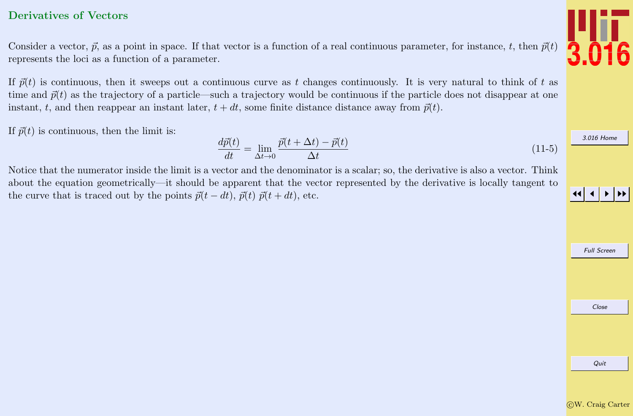# <span id="page-6-0"></span>Derivatives of Vectors

Consider a vector,  $\vec{p}$ , as a point in space. If that vector is a function of a real continuous parameter, for instance, t, then  $\vec{p}(t)$ represents the loci as a function of a parameter.

If  $\vec{p}(t)$  is continuous, then it sweeps out a continuous curve as t changes continuously. It is very natural to think of t as time and  $\vec{p}(t)$  as the trajectory of a particle—such a trajectory would be continuous if the particle does not disappear at one instant, t, and then reappear an instant later,  $t + dt$ , some finite distance distance away from  $\vec{p}(t)$ .

If  $\vec{p}(t)$  is continuous, then the limit is:

$$
\frac{d\vec{p}(t)}{dt} = \lim_{\Delta t \to 0} \frac{\vec{p}(t + \Delta t) - \vec{p}(t)}{\Delta t}
$$
\n(11-5)

Notice that the numerator inside the limit is a vector and the denominator is a scalar; so, the derivative is also a vector. Think about the equation geometrically—it should be apparent that the vector represented by the derivative is locally tangent to the curve that is traced out by the points  $\vec{p}(t - dt)$ ,  $\vec{p}(t)$   $\vec{p}(t + dt)$ , etc.



Full Screen

Close

[3.016 Home](http://pruffle.mit.edu/3.016-2012/)



Quit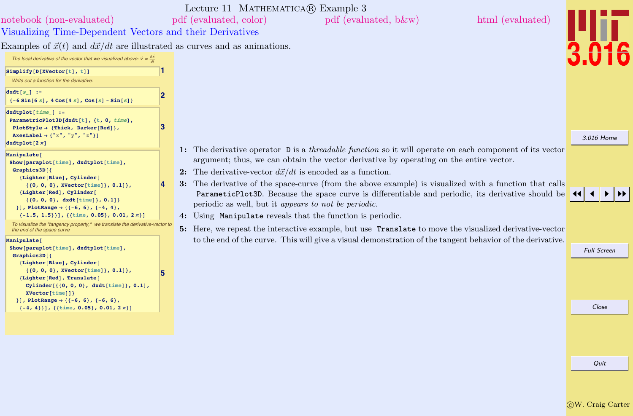<span id="page-7-0"></span>

| notebook (non-evaluated)<br>Visualizing Time-Dependent Vectors and their Derivatives                                                                                                                                                                                                                                                                                                                                                                                        |   | Lecture 11 MATHEMATICA(R) Example 3<br>pdf (evaluated, color)<br>html (evaluated)<br>pdf (evaluated, b&w)                                                                                                                                                                                                                                                                                                                                                                                                                                                                                                                                                                                                                       |                    |
|-----------------------------------------------------------------------------------------------------------------------------------------------------------------------------------------------------------------------------------------------------------------------------------------------------------------------------------------------------------------------------------------------------------------------------------------------------------------------------|---|---------------------------------------------------------------------------------------------------------------------------------------------------------------------------------------------------------------------------------------------------------------------------------------------------------------------------------------------------------------------------------------------------------------------------------------------------------------------------------------------------------------------------------------------------------------------------------------------------------------------------------------------------------------------------------------------------------------------------------|--------------------|
| Examples of $\vec{x}(t)$ and $d\vec{x}/dt$ are illustrated as curves and as animations.<br>The local derivative of the vector that we visualized above: $\vec{v} = \frac{d\vec{x}}{dt}$                                                                                                                                                                                                                                                                                     |   |                                                                                                                                                                                                                                                                                                                                                                                                                                                                                                                                                                                                                                                                                                                                 |                    |
| Simplify[D[XVector[t], t]]<br>Write out a function for the derivative:                                                                                                                                                                                                                                                                                                                                                                                                      |   |                                                                                                                                                                                                                                                                                                                                                                                                                                                                                                                                                                                                                                                                                                                                 |                    |
| $dxdt[s]$ :=<br>$\{-6\sin[6 s]$ , $4\cos[4 s]$ , $\cos[s]$ - $\sin[s]$ }                                                                                                                                                                                                                                                                                                                                                                                                    | 2 |                                                                                                                                                                                                                                                                                                                                                                                                                                                                                                                                                                                                                                                                                                                                 |                    |
| $dxdtplot[time]$ :=<br>ParametricPlot3D[dxdt[t], {t, 0, time},<br>PlotStyle $\rightarrow$ {Thick, Darker[Red]},<br>AxesLabel $\rightarrow$ {"x", "y", "z"}]<br>dxdtplot $[2 \pi]$                                                                                                                                                                                                                                                                                           | 3 |                                                                                                                                                                                                                                                                                                                                                                                                                                                                                                                                                                                                                                                                                                                                 | 3.016 Home         |
| Manipulate <sup>[</sup><br>Show [paraplot[time], dxdtplot[time],<br>Graphics3D[{<br>{Lighter[Blue], Cylinder[<br>$\{(0, 0, 0), XVector[\text{time}]\}, 0.1]\},$<br>{Lighter[Red], Cylinder[<br>$\{\{0, 0, 0\}, \text{dxdt}[\text{time}]\}, 0.1]\}$<br>} ], PlotRange $\rightarrow$ { {-6, 6}, {-4, 4},<br>$\{-1.5, 1.5\}\}\$ , {{time, 0.05}, 0.01, $2\pi\}$ ]<br>To visualize the "tangency property," we translate the derivative-vector to<br>the end of the space curve |   | 1: The derivative operator D is a <i>threadable function</i> so it will operate on each component of its vector<br>argument; thus, we can obtain the vector derivative by operating on the entire vector.<br>2: The derivative-vector $d\vec{x}/dt$ is encoded as a function.<br>3: The derivative of the space-curve (from the above example) is visualized with a function that calls<br>ParameticPlot3D. Because the space curve is differentiable and periodic, its derivative should be<br>periodic as well, but it appears to not be periodic.<br>4: Using Manipulate reveals that the function is periodic.<br>Here, we repeat the interactive example, but use Translate to move the visualized derivative-vector<br>5: |                    |
| Manipulate <sup>[</sup><br>Show [paraplot[time], dxdtplot[time],                                                                                                                                                                                                                                                                                                                                                                                                            |   | to the end of the curve. This will give a visual demonstration of the tangent behavior of the derivative.                                                                                                                                                                                                                                                                                                                                                                                                                                                                                                                                                                                                                       | <b>Full Screen</b> |
| Graphics3D[{<br>{Lighter[Blue], Cylinder[<br>$\{(0, 0, 0\},$ XVector[time]}, 0.1]},<br>{Lighter[Red], Translate[<br>Cylinder $[{0, 0, 0}, \text{dxdt[time]}$ , 0.1],<br><b>XVector</b> [time]]}<br>} ], PlotRange $\rightarrow$ { {-6, 6}, {-6, 6},                                                                                                                                                                                                                         |   |                                                                                                                                                                                                                                                                                                                                                                                                                                                                                                                                                                                                                                                                                                                                 |                    |
| $\{-4, 4\}\}\$ , {{time, 0.05}, 0.01, $2\pi\}$ ]                                                                                                                                                                                                                                                                                                                                                                                                                            |   |                                                                                                                                                                                                                                                                                                                                                                                                                                                                                                                                                                                                                                                                                                                                 | Close              |
|                                                                                                                                                                                                                                                                                                                                                                                                                                                                             |   |                                                                                                                                                                                                                                                                                                                                                                                                                                                                                                                                                                                                                                                                                                                                 |                    |
|                                                                                                                                                                                                                                                                                                                                                                                                                                                                             |   |                                                                                                                                                                                                                                                                                                                                                                                                                                                                                                                                                                                                                                                                                                                                 | Quit               |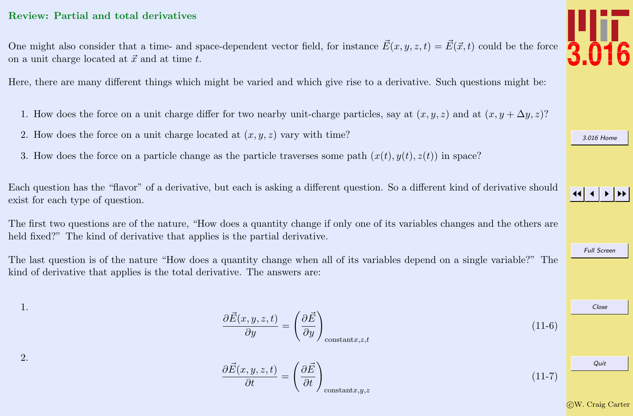## <span id="page-8-0"></span>Review: Partial and total derivatives

One might also consider that a time- and space-dependent vector field, for instance  $\vec{E}(x, y, z, t) = \vec{E}(\vec{x}, t)$  could be the force on a unit charge located at  $\vec{x}$  and at time t.

Here, there are many different things which might be varied and which give rise to a derivative. Such questions might be:

- 1. How does the force on a unit charge differ for two nearby unit-charge particles, say at  $(x, y, z)$  and at  $(x, y + \Delta y, z)$ ?
- 2. How does the force on a unit charge located at  $(x, y, z)$  vary with time?
- 3. How does the force on a particle change as the particle traverses some path  $(x(t), y(t), z(t))$  in space?

Each question has the "flavor" of a derivative, but each is asking a different question. So a different kind of derivative should exist for each type of question.

The first two questions are of the nature, "How does a quantity change if only one of its variables changes and the others are held fixed?" The kind of derivative that applies is the partial derivative.

The last question is of the nature "How does a quantity change when all of its variables depend on a single variable?" The kind of derivative that applies is the total derivative. The answers are:

1.

2.

$$
\frac{\partial \vec{E}(x, y, z, t)}{\partial y} = \left(\frac{\partial \vec{E}}{\partial y}\right)_{\text{constant}, z, z, t}
$$
\n(11-6)

$$
\frac{\partial \vec{E}(x, y, z, t)}{\partial t} = \left(\frac{\partial \vec{E}}{\partial t}\right)_{\text{constant}, x, y, z}
$$
\n(11-7)



[3.016 Home](http://pruffle.mit.edu/3.016-2012/)

JJ J I II

Full Screen

Close Quit

c W. Craig Carter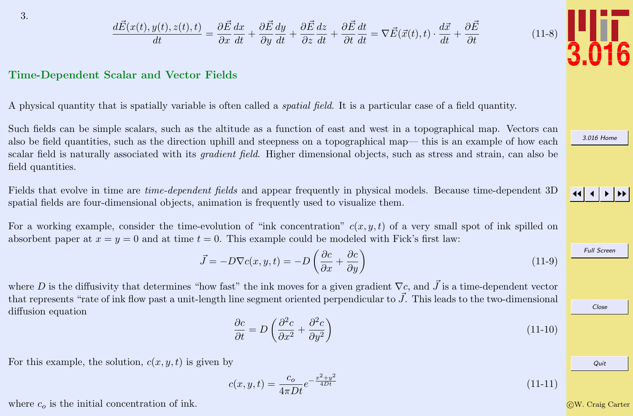$$
\frac{d\vec{E}(x(t), y(t), z(t), t)}{dt} = \frac{\partial \vec{E}}{\partial x}\frac{dx}{dt} + \frac{\partial \vec{E}}{\partial y}\frac{dy}{dt} + \frac{\partial \vec{E}}{\partial z}\frac{dz}{dt} + \frac{\partial \vec{E}}{\partial t}\frac{dt}{dt} = \nabla \vec{E}(\vec{x}(t), t) \cdot \frac{d\vec{x}}{dt} + \frac{\partial \vec{E}}{\partial t}
$$

#### <span id="page-9-0"></span>Time-Dependent Scalar and Vector Fields

A physical quantity that is spatially variable is often called a spatial field. It is a particular case of a field quantity.

Such fields can be simple scalars, such as the altitude as a function of east and west in a topographical map. Vectors can also be field quantities, such as the direction uphill and steepness on a topographical map— this is an example of how each scalar field is naturally associated with its *gradient field*. Higher dimensional objects, such as stress and strain, can also be field quantities.

Fields that evolve in time are *time-dependent fields* and appear frequently in physical models. Because time-dependent 3D spatial fields are four-dimensional objects, animation is frequently used to visualize them.

For a working example, consider the time-evolution of "ink concentration"  $c(x, y, t)$  of a very small spot of ink spilled on absorbent paper at  $x = y = 0$  and at time  $t = 0$ . This example could be modeled with Fick's first law:

$$
\vec{J} = -D\nabla c(x, y, t) = -D\left(\frac{\partial c}{\partial x} + \frac{\partial c}{\partial y}\right)
$$
(11-9)

where D is the diffusivity that determines "how fast" the ink moves for a given gradient  $\nabla c$ , and  $\vec{J}$  is a time-dependent vector that represents "rate of ink flow past a unit-length line segment oriented perpendicular to  $J$ . This leads to the two-dimensional diffusion equation

$$
\frac{\partial c}{\partial t} = D \left( \frac{\partial^2 c}{\partial x^2} + \frac{\partial^2 c}{\partial y^2} \right) \tag{11-10}
$$

For this example, the solution,  $c(x, y, t)$  is given by

$$
c(x, y, t) = \frac{c_o}{4\pi Dt}e^{-\frac{x^2 + y^2}{4Dt}}
$$
\n(11-11)

where  $c<sub>o</sub>$  is the initial concentration of ink.



 $(11-8)$ 

[3.016 Home](http://pruffle.mit.edu/3.016-2012/)

JJ J I II

Full Screen

Close

Quit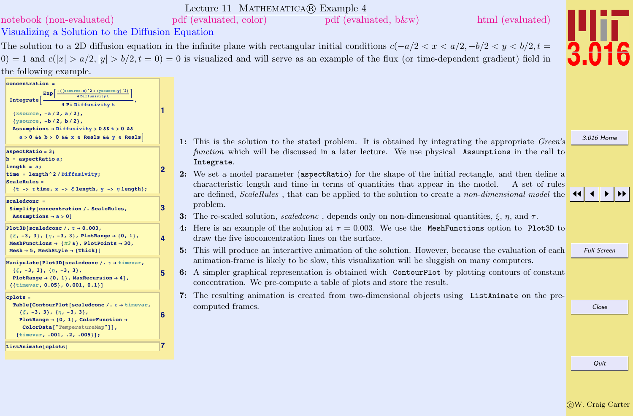<span id="page-10-0"></span>

|                                                                                                                                                                                                                                                      |                         | Lecture 11 MATHEMATICA(R) Example 4                                                                                                                                                                                                                                                                                       |                    |
|------------------------------------------------------------------------------------------------------------------------------------------------------------------------------------------------------------------------------------------------------|-------------------------|---------------------------------------------------------------------------------------------------------------------------------------------------------------------------------------------------------------------------------------------------------------------------------------------------------------------------|--------------------|
| notebook (non-evaluated)                                                                                                                                                                                                                             |                         | pdf (evaluated, color)<br>html (evaluated)<br>pdf (evaluated, b&w)                                                                                                                                                                                                                                                        |                    |
| Visualizing a Solution to the Diffusion Equation                                                                                                                                                                                                     |                         |                                                                                                                                                                                                                                                                                                                           |                    |
|                                                                                                                                                                                                                                                      |                         | The solution to a 2D diffusion equation in the infinite plane with rectangular initial conditions $c(-a/2 < x < a/2, -b/2 < y < b/2, t =$                                                                                                                                                                                 |                    |
|                                                                                                                                                                                                                                                      |                         | $(0) = 1$ and $c( x  > a/2,  y  > b/2, t = 0) = 0$ is visualized and will serve as an example of the flux (or time-dependent gradient) field in                                                                                                                                                                           |                    |
| the following example.                                                                                                                                                                                                                               |                         |                                                                                                                                                                                                                                                                                                                           |                    |
| $concentration =$<br>$($ (xsource-x) $2 +$ (ysource-y) $2)$<br>Exp<br>4 Diffusivity t<br>Integrate<br>4 Pi Diffusivity t<br>${xsource, -a/2, a/2},$<br>$\{ysource, -b/2, b/2\},$<br>Assumptions $\rightarrow$ Diffusivity > 0 & & t > 0 & &          |                         |                                                                                                                                                                                                                                                                                                                           |                    |
| $a > 0$ & $b > 0$ & $x \in$ Reals & $y \in$ Reals                                                                                                                                                                                                    |                         | 1: This is the solution to the stated problem. It is obtained by integrating the appropriate Green's                                                                                                                                                                                                                      | 3.016 Home         |
| $aspectRatio = 3;$<br>$b =$ aspectRatio a;<br>length = $a$ ;<br>time = $length ^2 / Diffusivity;$<br><b>ScaleRules =</b><br>$\{t \rightarrow \tau \text{ time}, x \rightarrow \xi \text{ length}, y \rightarrow \eta \text{ length}\}\;$             |                         | function which will be discussed in a later lecture. We use physical Assumptions in the call to<br>Integrate.<br>2: We set a model parameter (aspectRatio) for the shape of the initial rectangle, and then define a<br>characteristic length and time in terms of quantities that appear in the model.<br>A set of rules |                    |
| $scaledcone =$<br>Simplify [concentration /. ScaleRules,<br>Assumptions $\rightarrow$ a > 0]                                                                                                                                                         | 3                       | are defined, ScaleRules, that can be applied to the solution to create a non-dimensional model the<br>problem.<br>3: The re-scaled solution, scaled conc, depends only on non-dimensional quantities, $\xi$ , $\eta$ , and $\tau$ .                                                                                       |                    |
| Plot3D[scaledconc /. $\tau \rightarrow 0.003$ ,<br>$\{\xi, -3, 3\}, \{\eta, -3, 3\},$ PlotRange $\rightarrow$ {0, 1},<br>MeshFunctions $\rightarrow$ {#3 &}, PlotPoints $\rightarrow$ 30,<br>$Mesh \rightarrow 5$ , MeshStyle $\rightarrow$ {Thick}] | $\overline{\mathbf{A}}$ | 4: Here is an example of the solution at $\tau = 0.003$ . We use the MeshFunctions option to Plot3D to<br>draw the five isoconcentration lines on the surface.<br>5: This will produce an interactive animation of the solution. However, because the evaluation of each                                                  | <b>Full Screen</b> |
| Manipulate [Plot3D [scaledconc /. $\tau \rightarrow$ timevar,<br>$\{\xi, -3, 3\}, \{\eta, -3, 3\},$<br>PlotRange $\rightarrow$ {0, 1}, MaxRecursion $\rightarrow$ 4],<br>${ {\{ \text{timer, 0.05} \}, 0.001, 0.1 \} }$                              | 5                       | animation-frame is likely to be slow, this visualization will be sluggish on many computers.<br>6: A simpler graphical representation is obtained with ContourPlot by plotting contours of constant<br>concentration. We pre-compute a table of plots and store the result.                                               |                    |
| $cplots =$<br>Table [ContourPlot [scaledconc /. $\tau \rightarrow$ timevar,<br>$\{\xi, -3, 3\}, \{\eta, -3, 3\},$<br>PlotRange $\rightarrow$ {0, 1}, ColorFunction $\rightarrow$<br>ColorData["TemperatureMap"]],<br>{timevar, .001, .2, .005}];     |                         | 7: The resulting animation is created from two-dimensional objects using ListAnimate on the pre-<br>computed frames.                                                                                                                                                                                                      | Close              |
| ListAnimate[cplots]                                                                                                                                                                                                                                  |                         |                                                                                                                                                                                                                                                                                                                           |                    |
|                                                                                                                                                                                                                                                      |                         |                                                                                                                                                                                                                                                                                                                           | Quit               |
|                                                                                                                                                                                                                                                      |                         |                                                                                                                                                                                                                                                                                                                           |                    |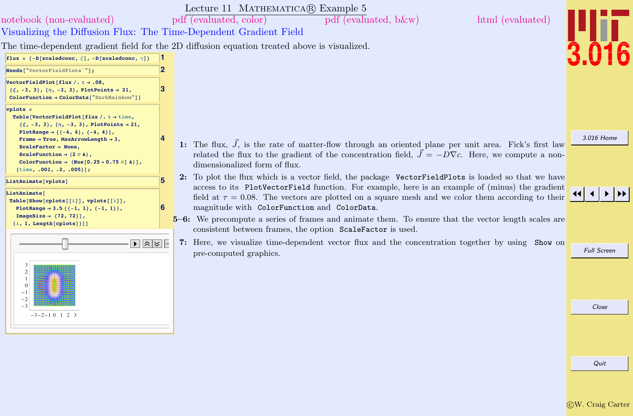<span id="page-11-0"></span>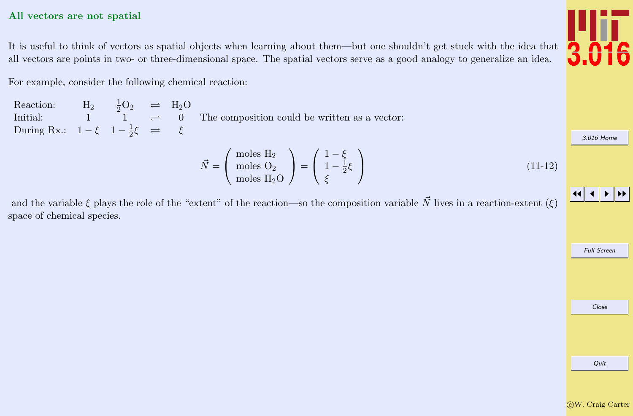#### <span id="page-12-0"></span>All vectors are not spatial

It is useful to think of vectors as spatial objects when learning about them—but one shouldn't get stuck with the idea that all vectors are points in two- or three-dimensional space. The spatial vectors serve as a good analogy to generalize an idea.

For example, consider the following chemical reaction:

Reaction:  $H_2 \frac{1}{2}O_2 \implies H_2O$ Initial:  $1 \quad 1 \quad \stackrel{\sim}{\rightarrow} \quad 0$ During Rx.:  $1 - \xi \quad 1 - \frac{1}{2}$  $\frac{1}{2}\xi$   $\Rightarrow$   $\xi$ The composition could be written as a vector:

$$
\vec{N} = \begin{pmatrix} \text{moles } H_2 \\ \text{moles } O_2 \\ \text{moles } H_2 O \end{pmatrix} = \begin{pmatrix} 1 - \xi \\ 1 - \frac{1}{2}\xi \\ \xi \end{pmatrix}
$$
 (11-12)

and the variable  $\xi$  plays the role of the "extent" of the reaction—so the composition variable  $\vec{N}$  lives in a reaction-extent  $(\xi)$ space of chemical species.

Full Screen

Quit



[3.016 Home](http://pruffle.mit.edu/3.016-2012/)

JJ J I II

Close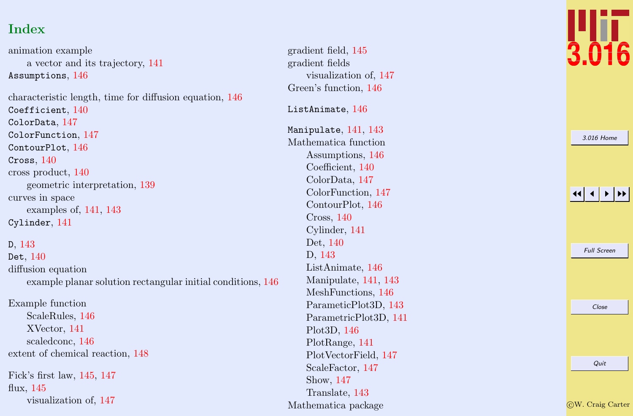# Index

animation example a vector and its trajectory, [141](#page-5-0)  $\texttt{Assumptions},\,146$  $\texttt{Assumptions},\,146$ characteristic length, time for diffusion equation, [146](#page-10-0)  $\texttt{Coefficient},\,140$  $\texttt{Coefficient},\,140$ ColorData , [147](#page-11-0) ColorFunction , [147](#page-11-0) ContourPlot, [146](#page-10-0)  $C$ ross,  $140\,$  $140\,$ cross product, [140](#page-4-0) geometric interpretation, [139](#page-3-0) curves in space examples of, [141](#page-5-0) , [143](#page-7-0) Cylinder , [141](#page-5-0) D , [143](#page-7-0) Det,  $140\,$  $140\,$ diffusion equation example planar solution rectangular initial conditions, [146](#page-10-0) Example function ScaleRules, [146](#page-10-0) XVector, [141](#page-5-0) scaledconc, [146](#page-10-0)

extent of chemical reaction, [148](#page-12-0)

Fick's first law, [145](#page-9-0) , [147](#page-11-0) flux, [145](#page-9-0) visualization of, [147](#page-11-0) gradient field, [145](#page-9-0) gradient fields visualization of, [147](#page-11-0) Green's function, [146](#page-10-0)  $\tt ListAnimate, 146$  $\tt ListAnimate, 146$  $\texttt{Manipulate},\, 141,\, 143$  $\texttt{Manipulate},\, 141,\, 143$  $\texttt{Manipulate},\, 141,\, 143$  $\texttt{Manipulate},\, 141,\, 143$ Mathematica function Assumptions, [146](#page-10-0) Coefficient, [140](#page-4-0) ColorData, [147](#page-11-0) ColorFunction, [147](#page-11-0) ContourPlot, [146](#page-10-0) Cross, [140](#page-4-0) Cylinder, [141](#page-5-0) Det, [140](#page-4-0) D, [143](#page-7-0) ListAnimate, [146](#page-10-0) Manipulate, [141](#page-5-0) , [143](#page-7-0) MeshFunctions, [146](#page-10-0) ParameticPlot3D, [143](#page-7-0) ParametricPlot3D, [141](#page-5-0) Plot3D, [146](#page-10-0) PlotRange, [141](#page-5-0) PlotVectorField, [147](#page-11-0) ScaleFactor, [147](#page-11-0) Show, [147](#page-11-0) Translate, [143](#page-7-0) Mathematica package



| 3.016 Home           |  |                    |  |  |  |
|----------------------|--|--------------------|--|--|--|
|                      |  |                    |  |  |  |
|                      |  |                    |  |  |  |
| $\blacktriangleleft$ |  |                    |  |  |  |
|                      |  |                    |  |  |  |
|                      |  |                    |  |  |  |
|                      |  | <b>Full Screen</b> |  |  |  |
|                      |  |                    |  |  |  |
|                      |  |                    |  |  |  |
|                      |  | Close              |  |  |  |
|                      |  |                    |  |  |  |
|                      |  |                    |  |  |  |
|                      |  |                    |  |  |  |
|                      |  | Quit               |  |  |  |
|                      |  |                    |  |  |  |

c W. Craig Carter